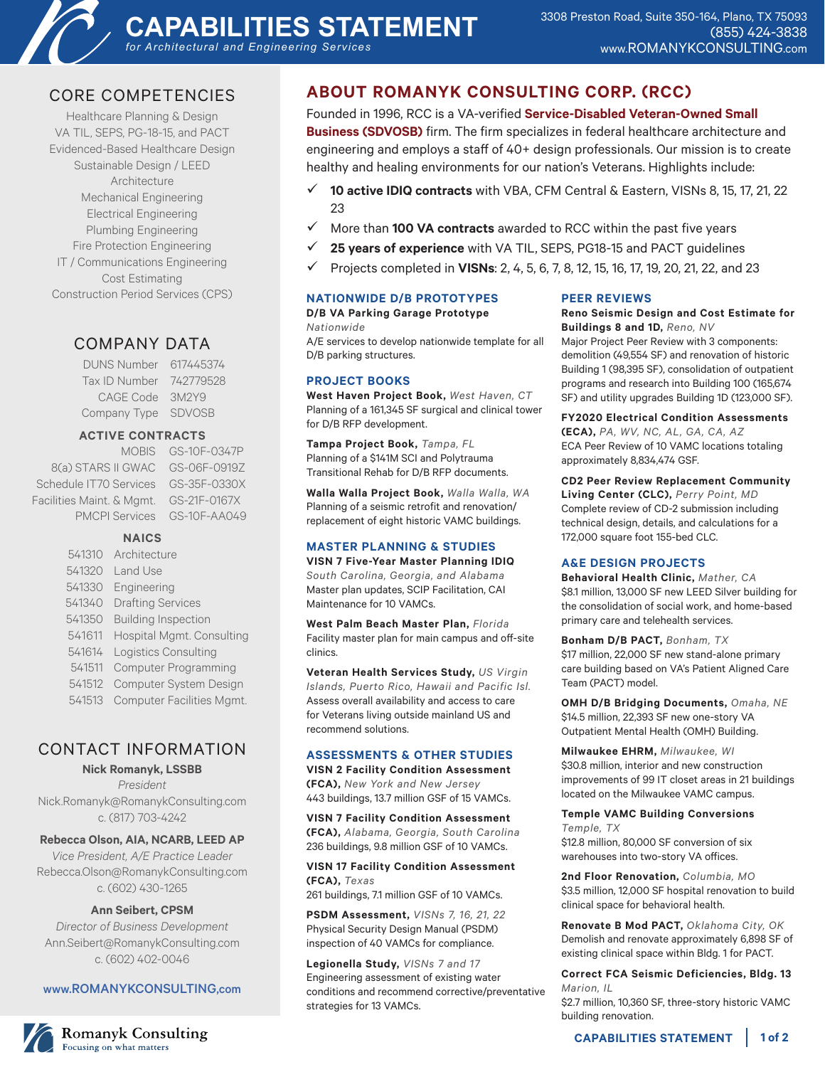

# CORE COMPETENCIES

Healthcare Planning & Design VA TIL, SEPS, PG-18-15, and PACT Evidenced-Based Healthcare Design Sustainable Design / LEED Architecture Mechanical Engineering Electrical Engineering Plumbing Engineering Fire Protection Engineering IT / Communications Engineering Cost Estimating Construction Period Services (CPS)

## COMPANY DATA

DUNS Number 617445374 Tax ID Number 742779528 CAGE Code 3M2Y9 Company Type SDVOSB

#### **ACTIVE CONTRACTS**

MOBIS GS-10F-0347P 8(a) STARS II GWAC GS-06F-0919Z Schedule IT70 Services GS-35F-0330X Facilities Maint. & Mgmt. GS-21F-0167X PMCPI Services GS-10F-AA049

#### **NAICS**

 Architecture 541320 Land Use Engineering Drafting Services Building Inspection Hospital Mgmt. Consulting Logistics Consulting Computer Programming Computer System Design Computer Facilities Mgmt.

# CONTACT INFORMATION

#### **Nick Romanyk, LSSBB**

*President* Nick.Romanyk@RomanykConsulting.com c. (817) 703-4242

#### **Rebecca Olson, AIA, NCARB, LEED AP**

*Vice President, A/E Practice Leader* Rebecca.Olson@RomanykConsulting.com c. (602) 430-1265

#### **Ann Seibert, CPSM**

*Director of Business Development* Ann.Seibert@RomanykConsulting.com c. (602) 402-0046

#### www.ROMANYKCONSULTING,com

## **ABOUT ROMANYK CONSULTING CORP. (RCC)**

Founded in 1996, RCC is a VA-verified **Service-Disabled Veteran-Owned Small Business (SDVOSB)** firm. The firm specializes in federal healthcare architecture and engineering and employs a staff of 40+ design professionals. Our mission is to create healthy and healing environments for our nation's Veterans. Highlights include:

- 9 **10 active IDIQ contracts** with VBA, CFM Central & Eastern, VISNs 8, 15, 17, 21, 22 23
- 9 More than **100 VA contracts** awarded to RCC within the past five years
- $\checkmark$  25 years of experience with VA TIL, SEPS, PG18-15 and PACT guidelines
- 9 Projects completed in **VISNs**: 2, 4, 5, 6, 7, 8, 12, 15, 16, 17, 19, 20, 21, 22, and 23

#### **NATIONWIDE D/B PROTOTYPES**

**D/B VA Parking Garage Prototype**

*Nationwide*

A/E services to develop nationwide template for all D/B parking structures.

#### **PROJECT BOOKS**

**West Haven Project Book,** *West Haven, CT* Planning of a 161,345 SF surgical and clinical tower for D/B RFP development.

**Tampa Project Book,** *Tampa, FL* Planning of a \$141M SCI and Polytrauma Transitional Rehab for D/B RFP documents.

**Walla Walla Project Book,** *Walla Walla, WA* Planning of a seismic retrofit and renovation/ replacement of eight historic VAMC buildings.

#### **MASTER PLANNING & STUDIES**

**VISN 7 Five-Year Master Planning IDIQ**  *South Carolina, Georgia, and Alabama* Master plan updates, SCIP Facilitation, CAI Maintenance for 10 VAMCs.

**West Palm Beach Master Plan,** *Florida* Facility master plan for main campus and off-site clinics.

**Veteran Health Services Study,** *US Virgin Islands, Puerto Rico, Hawaii and Pacific Isl.* Assess overall availability and access to care for Veterans living outside mainland US and recommend solutions.

#### **ASSESSMENTS & OTHER STUDIES**

**VISN 2 Facility Condition Assessment (FCA),** *New York and New Jersey* 443 buildings, 13.7 million GSF of 15 VAMCs.

**VISN 7 Facility Condition Assessment (FCA),** *Alabama, Georgia, South Carolina* 236 buildings, 9.8 million GSF of 10 VAMCs.

#### **VISN 17 Facility Condition Assessment (FCA),** *Texas*

261 buildings, 7.1 million GSF of 10 VAMCs.

**PSDM Assessment,** *VISNs 7, 16, 21, 22* Physical Security Design Manual (PSDM) inspection of 40 VAMCs for compliance.

**Legionella Study,** *VISNs 7 and 17* Engineering assessment of existing water conditions and recommend corrective/preventative strategies for 13 VAMCs.

#### **PEER REVIEWS**

**Reno Seismic Design and Cost Estimate for Buildings 8 and 1D,** *Reno, NV*

Major Project Peer Review with 3 components: demolition (49,554 SF) and renovation of historic Building 1 (98,395 SF), consolidation of outpatient programs and research into Building 100 (165,674 SF) and utility upgrades Building 1D (123,000 SF).

**FY2020 Electrical Condition Assessments** 

**(ECA),** *PA, WV, NC, AL, GA, CA, AZ* ECA Peer Review of 10 VAMC locations totaling approximately 8,834,474 GSF.

**CD2 Peer Review Replacement Community Living Center (CLC),** *Perry Point, MD* Complete review of CD-2 submission including technical design, details, and calculations for a 172,000 square foot 155-bed CLC.

#### **A&E DESIGN PROJECTS**

**Behavioral Health Clinic,** *Mather, CA* \$8.1 million, 13,000 SF new LEED Silver building for the consolidation of social work, and home-based primary care and telehealth services.

**Bonham D/B PACT,** *Bonham, TX* \$17 million, 22,000 SF new stand-alone primary care building based on VA's Patient Aligned Care Team (PACT) model.

**OMH D/B Bridging Documents,** *Omaha, NE* \$14.5 million, 22,393 SF new one-story VA Outpatient Mental Health (OMH) Building.

**Milwaukee EHRM,** *Milwaukee, WI* \$30.8 million, interior and new construction improvements of 99 IT closet areas in 21 buildings located on the Milwaukee VAMC campus.

**Temple VAMC Building Conversions**  *Temple, TX* \$12.8 million, 80,000 SF conversion of six

warehouses into two-story VA offices.

**2nd Floor Renovation,** *Columbia, MO* \$3.5 million, 12,000 SF hospital renovation to build clinical space for behavioral health.

**Renovate B Mod PACT,** *Oklahoma City, OK* Demolish and renovate approximately 6,898 SF of existing clinical space within Bldg. 1 for PACT.

**Correct FCA Seismic Deficiencies, Bldg. 13** *Marion, IL*

\$2.7 million, 10,360 SF, three-story historic VAMC building renovation.